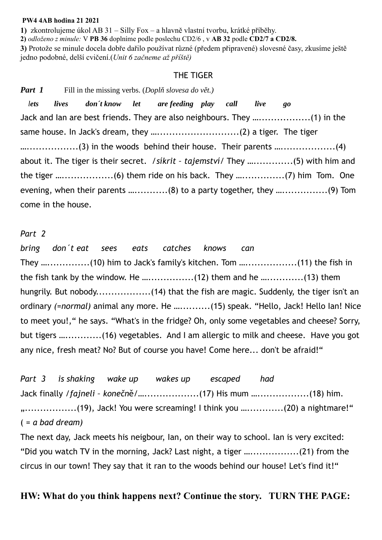#### **PW4 4AB hodina 21 2021**

**1)** zkontrolujeme úkol AB 31 – Silly Fox – a hlavně vlastní tvorbu, krátké příběhy.

**2)** *odloženo z minule:* V **PB 36** doplníme podle poslechu CD2/6 , v **AB 32** podle **CD2/7 a CD2/8.** 

**3)** Protože se minule docela dobře dařilo používat různé (předem připravené) slovesné časy, zkusíme ještě jedno podobné, delší cvičení.(*Unit 6 začneme až příště)*

### THE TIGER

*Part 1* Fill in the missing verbs. (*Doplň slovesa do vět.*)  *lets lives don´t know let are feeding play call live go*  Jack and Ian are best friends. They are also neighbours. They ….................(1) in the same house. In Jack's dream, they …...........................(2) a tiger. The tiger ............................(3) in the woods behind their house. Their parents ..............................(4) about it. The tiger is their secret. /*síkrit – tajemství*/ They ….............(5) with him and the tiger ….................(6) them ride on his back. They …..............(7) him Tom. One evening, when their parents …...........(8) to a party together, they …...............(9) Tom come in the house.

#### *Part 2*

*bring don´t eat sees eats catches knows can*  They ....................(10) him to Jack's family's kitchen. Tom ........................(11) the fish in the fish tank by the window. He …...............(12) them and he …............(13) them hungrily. But nobody......................(14) that the fish are magic. Suddenly, the tiger isn't an ordinary *(=normal)* animal any more. He …..........(15) speak. "Hello, Jack! Hello Ian! Nice to meet you!," he says. "What's in the fridge? Oh, only some vegetables and cheese? Sorry, but tigers …............(16) vegetables. And I am allergic to milk and cheese. Have you got any nice, fresh meat? No? But of course you have! Come here... don't be afraid!"

*Part 3 is shaking wake up wakes up escaped had*  Jack finally /*fajneli – konečn*ě/…..................(17) His mum ….................(18) him. ".................(19), Jack! You were screaming! I think you …............(20) a nightmare!" ( *= a bad dream)*

The next day, Jack meets his neigbour, Ian, on their way to school. Ian is very excited: "Did you watch TV in the morning, Jack? Last night, a tiger …................(21) from the circus in our town! They say that it ran to the woods behind our house! Let's find it!"

## **HW: What do you think happens next? Continue the story. TURN THE PAGE:**